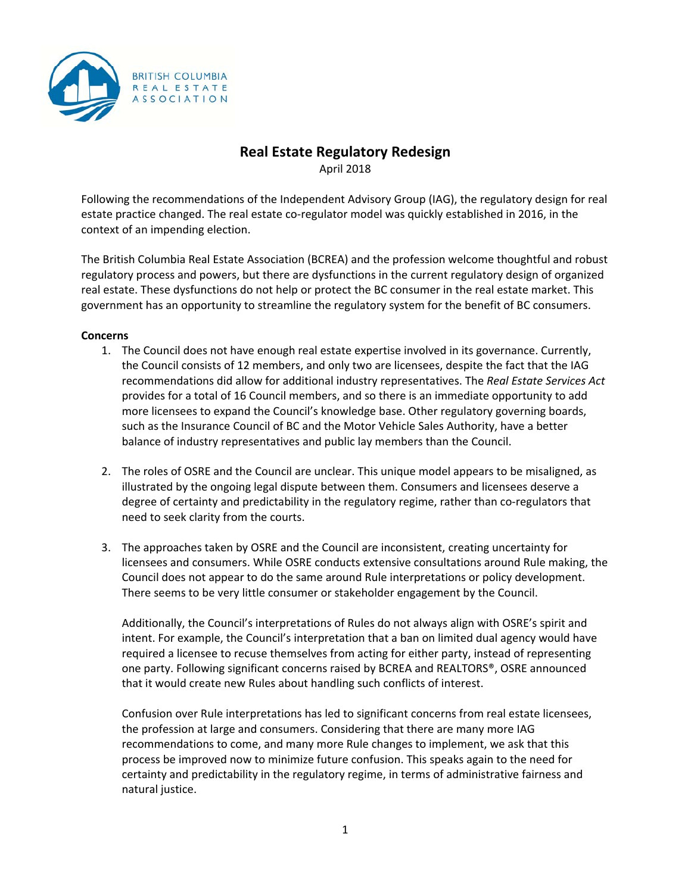

# **Real Estate Regulatory Redesign**

April 2018

Following the recommendations of the Independent Advisory Group (IAG), the regulatory design for real estate practice changed. The real estate co-regulator model was quickly established in 2016, in the context of an impending election.

The British Columbia Real Estate Association (BCREA) and the profession welcome thoughtful and robust regulatory process and powers, but there are dysfunctions in the current regulatory design of organized real estate. These dysfunctions do not help or protect the BC consumer in the real estate market. This government has an opportunity to streamline the regulatory system for the benefit of BC consumers.

## **Concerns**

- 1. The Council does not have enough real estate expertise involved in its governance. Currently, the Council consists of 12 members, and only two are licensees, despite the fact that the IAG recommendations did allow for additional industry representatives. The *Real Estate Services Act* provides for a total of 16 Council members, and so there is an immediate opportunity to add more licensees to expand the Council's knowledge base. Other regulatory governing boards, such as the Insurance Council of BC and the Motor Vehicle Sales Authority, have a better balance of industry representatives and public lay members than the Council.
- 2. The roles of OSRE and the Council are unclear. This unique model appears to be misaligned, as illustrated by the ongoing legal dispute between them. Consumers and licensees deserve a degree of certainty and predictability in the regulatory regime, rather than co-regulators that need to seek clarity from the courts.
- 3. The approaches taken by OSRE and the Council are inconsistent, creating uncertainty for licensees and consumers. While OSRE conducts extensive consultations around Rule making, the Council does not appear to do the same around Rule interpretations or policy development. There seems to be very little consumer or stakeholder engagement by the Council.

Additionally, the Council's interpretations of Rules do not always align with OSRE's spirit and intent. For example, the Council's interpretation that a ban on limited dual agency would have required a licensee to recuse themselves from acting for either party, instead of representing one party. Following significant concerns raised by BCREA and REALTORS®, OSRE announced that it would create new Rules about handling such conflicts of interest.

Confusion over Rule interpretations has led to significant concerns from real estate licensees, the profession at large and consumers. Considering that there are many more IAG recommendations to come, and many more Rule changes to implement, we ask that this process be improved now to minimize future confusion. This speaks again to the need for certainty and predictability in the regulatory regime, in terms of administrative fairness and natural justice.